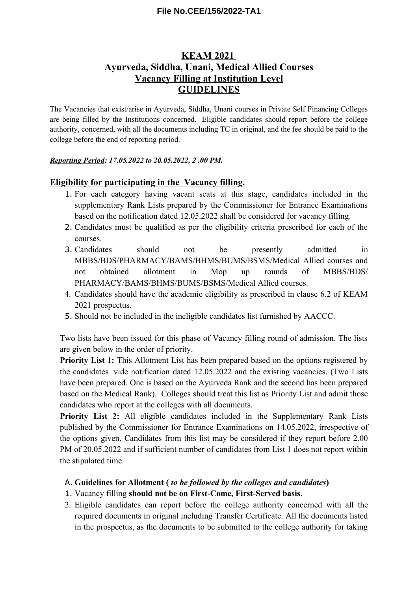## **File No.CEE/156/2022-TA1**

# **KEAM 2021 Ayurveda, Siddha, Unani, Medical Allied Courses Vacancy Filling at Institution Level GUIDELINES**

The Vacancies that exist/arise in Ayurveda, Siddha, Unani courses in Private Self Financing Colleges are being filled by the Institutions concerned. Eligible candidates should report before the college authority, concerned, with all the documents including TC in original, and the fee should be paid to the college before the end of reporting period.

### *Reporting Period: 17.05.2022 to 20.05.2022, 2 .00 PM.*

### **Eligibility for participating in the Vacancy filling.**

- 1. For each category having vacant seats at this stage, candidates included in the supplementary Rank Lists prepared by the Commissioner for Entrance Examinations based on the notification dated 12.05.2022 shall be considered for vacancy filling.
- 2. Candidates must be qualified as per the eligibility criteria prescribed for each of the courses.
- 3. Candidates should not be presently admitted in MBBS/BDS/PHARMACY/BAMS/BHMS/BUMS/BSMS/Medical Allied courses and not obtained allotment in Mop up rounds of MBBS/BDS/ PHARMACY/BAMS/BHMS/BUMS/BSMS/Medical Allied courses.
- 4. Candidates should have the academic eligibility as prescribed in clause 6.2 of KEAM 2021 prospectus.
- 5. Should not be included in the ineligible candidates list furnished by AACCC.

Two lists have been issued for this phase of Vacancy filling round of admission. The lists are given below in the order of priority.

**Priority List 1:** This Allotment List has been prepared based on the options registered by the candidates vide notification dated 12.05.2022 and the existing vacancies. (Two Lists have been prepared. One is based on the Ayurveda Rank and the second has been prepared based on the Medical Rank). Colleges should treat this list as Priority List and admit those candidates who report at the colleges with all documents.

**Priority List 2:** All eligible candidates included in the Supplementary Rank Lists published by the Commissioner for Entrance Examinations on 14.05.2022, irrespective of the options given. Candidates from this list may be considered if they report before 2.00 PM of 20.05.2022 and if sufficient number of candidates from List 1 does not report within the stipulated time.

## A. **Guidelines for Allotment (** *to be followed by the colleges and candidates* **)**

- 1. Vacancy filling **should not be on First-Come, First-Served basis**.
- 2. Eligible candidates can report before the college authority concerned with all the required documents in original including Transfer Certificate. All the documents listed in the prospectus, as the documents to be submitted to the college authority for taking